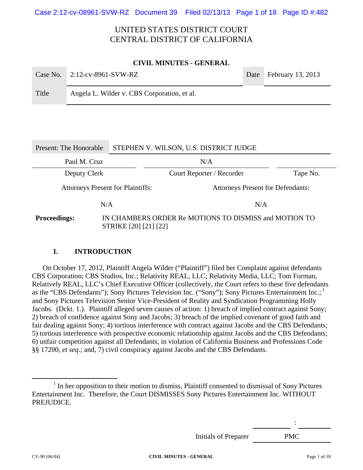Case 2:12-cv-08961-SVW-RZ Document 39 Filed 02/13/13 Page 1 of 18 Page ID #:482

# UNITED STATES DISTRICT COURT CENTRAL DISTRICT OF CALIFORNIA

#### **CIVIL MINUTES - GENERAL**

|       | Case No. $2:12$ -cv-8961-SVW-RZ             | Date February 13, 2013 |
|-------|---------------------------------------------|------------------------|
| Title | Angela L. Wilder v. CBS Corporation, et al. |                        |

# Present: The Honorable STEPHEN V. WILSON, U.S. DISTRICT JUDGE Paul M. Cruz N/A Deputy Clerk Court Reporter / Recorder Tape No. Attorneys Present for Plaintiffs: Attorneys Present for Defendants:  $N/A$   $N/A$ **Proceedings:** IN CHAMBERS ORDER Re MOTIONS TO DISMISS and MOTION TO STRIKE [20] [21] [22]

### **I. INTRODUCTION**

On October 17, 2012, Plaintiff Angela Wilder ("Plaintiff") filed her Complaint against defendants CBS Corporation; CBS Studios, Inc.; Relativity REAL, LLC; Relativity Media, LLC; Tom Forman, Relatively REAL, LLC's Chief Executive Officer (collectively, the Court refers to these five defendants as the "CBS Defendants"); Sony Pictures Television Inc. ("Sony"); Sony Pictures Entertainment Inc.;<sup>1</sup> and Sony Pictures Television Senior Vice-President of Reality and Syndication Programming Holly Jacobs. (Dckt. 1.). Plaintiff alleged seven causes of action: 1) breach of implied contract against Sony; 2) breach of confidence against Sony and Jacobs; 3) breach of the implied covenant of good faith and fair dealing against Sony; 4) tortious interference with contract against Jacobs and the CBS Defendants; 5) tortious interference with prospective economic relationship against Jacobs and the CBS Defendants; 6) unfair competition against all Defendants, in violation of California Business and Professions Code §§ 17200, *et seq*.; and, 7) civil conspiracy against Jacobs and the CBS Defendants.

Initials of Preparer PMC

<sup>&</sup>lt;u>1</u>  $<sup>1</sup>$  In her opposition to their motion to dismiss, Plaintiff consented to dismissal of Sony Pictures</sup> Entertainment Inc. Therefore, the Court DISMISSES Sony Pictures Entertainment Inc. WITHOUT PREJUDICE.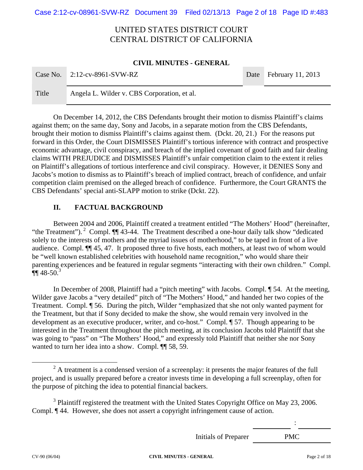Case 2:12-cv-08961-SVW-RZ Document 39 Filed 02/13/13 Page 2 of 18 Page ID #:483

# UNITED STATES DISTRICT COURT CENTRAL DISTRICT OF CALIFORNIA

#### **CIVIL MINUTES - GENERAL**

|       | Case No. $2:12$ -cv-8961-SVW-RZ             | Date February 11, 2013 |
|-------|---------------------------------------------|------------------------|
| Title | Angela L. Wilder v. CBS Corporation, et al. |                        |

 On December 14, 2012, the CBS Defendants brought their motion to dismiss Plaintiff's claims against them; on the same day, Sony and Jacobs, in a separate motion from the CBS Defendants, brought their motion to dismiss Plaintiff's claims against them. (Dckt. 20, 21.) For the reasons put forward in this Order, the Court DISMISSES Plaintiff's tortious inference with contract and prospective economic advantage, civil conspiracy, and breach of the implied covenant of good faith and fair dealing claims WITH PREJUDICE and DISMISSES Plaintiff's unfair competition claim to the extent it relies on Plaintiff's allegations of tortious interference and civil conspiracy. However, it DENIES Sony and Jacobs's motion to dismiss as to Plaintiff's breach of implied contract, breach of confidence, and unfair competition claim premised on the alleged breach of confidence. Furthermore, the Court GRANTS the CBS Defendants' special anti-SLAPP motion to strike (Dckt. 22).

### **II. FACTUAL BACKGROUND**

 Between 2004 and 2006, Plaintiff created a treatment entitled "The Mothers' Hood" (hereinafter, "the Treatment"). <sup>2</sup> Compl.  $\P\P$  43-44. The Treatment described a one-hour daily talk show "dedicated" solely to the interests of mothers and the myriad issues of motherhood," to be taped in front of a live audience. Compl. ¶¶ 45, 47. It proposed three to five hosts, each mothers, at least two of whom would be "well known established celebrities with household name recognition," who would share their parenting experiences and be featured in regular segments "interacting with their own children." Compl.  $\P\P$  48-50.<sup>3</sup>

In December of 2008, Plaintiff had a "pitch meeting" with Jacobs. Compl. ¶ 54. At the meeting, Wilder gave Jacobs a "very detailed" pitch of "The Mothers' Hood," and handed her two copies of the Treatment. Compl. ¶ 56. During the pitch, Wilder "emphasized that she not only wanted payment for the Treatment, but that if Sony decided to make the show, she would remain very involved in the development as an executive producer, writer, and co-host." Compl. ¶ 57. Though appearing to be interested in the Treatment throughout the pitch meeting, at its conclusion Jacobs told Plaintiff that she was going to "pass" on "The Mothers' Hood," and expressly told Plaintiff that neither she nor Sony wanted to turn her idea into a show. Compl. ¶¶ 58, 59.

Initials of Preparer PMC

: 100 pm

**CV-90 (06/04) CIVIL MINUTES - GENERAL** Page 2 of 18

 <sup>2</sup>  $^{2}$  A treatment is a condensed version of a screenplay: it presents the major features of the full project, and is usually prepared before a creator invests time in developing a full screenplay, often for the purpose of pitching the idea to potential financial backers.

 $3$  Plaintiff registered the treatment with the United States Copyright Office on May 23, 2006. Compl. ¶ 44. However, she does not assert a copyright infringement cause of action.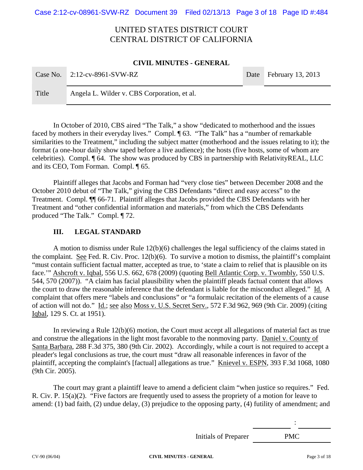Case 2:12-cv-08961-SVW-RZ Document 39 Filed 02/13/13 Page 3 of 18 Page ID #:484

# UNITED STATES DISTRICT COURT CENTRAL DISTRICT OF CALIFORNIA

#### **CIVIL MINUTES - GENERAL**

| Case No. | $2:12$ -cv-8961-SVW-RZ                      | Date February 13, 2013 |
|----------|---------------------------------------------|------------------------|
| Title    | Angela L. Wilder v. CBS Corporation, et al. |                        |

 In October of 2010, CBS aired "The Talk," a show "dedicated to motherhood and the issues faced by mothers in their everyday lives." Compl. ¶ 63. "The Talk" has a "number of remarkable similarities to the Treatment," including the subject matter (motherhood and the issues relating to it); the format (a one-hour daily show taped before a live audience); the hosts (five hosts, some of whom are celebrities). Compl. ¶ 64. The show was produced by CBS in partnership with RelativityREAL, LLC and its CEO, Tom Forman. Compl. ¶ 65.

 Plaintiff alleges that Jacobs and Forman had "very close ties" between December 2008 and the October 2010 debut of "The Talk," giving the CBS Defendants "direct and easy access" to the Treatment. Compl. ¶¶ 66-71. Plaintiff alleges that Jacobs provided the CBS Defendants with her Treatment and "other confidential information and materials," from which the CBS Defendants produced "The Talk." Compl. ¶ 72.

### **III. LEGAL STANDARD**

A motion to dismiss under Rule 12(b)(6) challenges the legal sufficiency of the claims stated in the complaint. See Fed. R. Civ. Proc. 12(b)(6). To survive a motion to dismiss, the plaintiff's complaint "must contain sufficient factual matter, accepted as true, to 'state a claim to relief that is plausible on its face.'" Ashcroft v. Iqbal, 556 U.S. 662, 678 (2009) (quoting Bell Atlantic Corp. v. Twombly, 550 U.S. 544, 570 (2007)). "A claim has facial plausibility when the plaintiff pleads factual content that allows the court to draw the reasonable inference that the defendant is liable for the misconduct alleged." Id. A complaint that offers mere "labels and conclusions" or "a formulaic recitation of the elements of a cause of action will not do." Id.; see also Moss v. U.S. Secret Serv., 572 F.3d 962, 969 (9th Cir. 2009) (citing Iqbal, 129 S. Ct. at 1951).

In reviewing a Rule 12(b)(6) motion, the Court must accept all allegations of material fact as true and construe the allegations in the light most favorable to the nonmoving party. Daniel v. County of Santa Barbara, 288 F.3d 375, 380 (9th Cir. 2002). Accordingly, while a court is not required to accept a pleader's legal conclusions as true, the court must "draw all reasonable inferences in favor of the plaintiff, accepting the complaint's [factual] allegations as true." Knievel v. ESPN, 393 F.3d 1068, 1080 (9th Cir. 2005).

The court may grant a plaintiff leave to amend a deficient claim "when justice so requires." Fed. R. Civ. P. 15(a)(2). "Five factors are frequently used to assess the propriety of a motion for leave to amend: (1) bad faith, (2) undue delay, (3) prejudice to the opposing party, (4) futility of amendment; and

Initials of Preparer PMC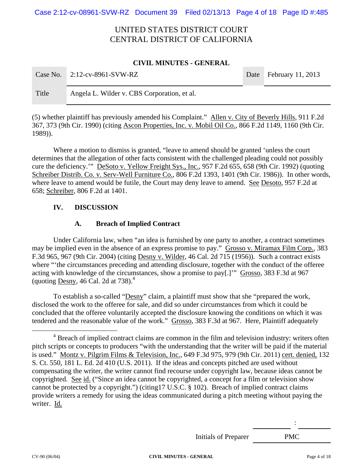Case 2:12-cv-08961-SVW-RZ Document 39 Filed 02/13/13 Page 4 of 18 Page ID #:485

# UNITED STATES DISTRICT COURT CENTRAL DISTRICT OF CALIFORNIA

#### **CIVIL MINUTES - GENERAL**

| Case No. | $2:12$ -cv-8961-SVW-RZ                      | Date February 11, 2013 |
|----------|---------------------------------------------|------------------------|
| Title    | Angela L. Wilder v. CBS Corporation, et al. |                        |

(5) whether plaintiff has previously amended his Complaint." Allen v. City of Beverly Hills, 911 F.2d 367, 373 (9th Cir. 1990) (citing Ascon Properties, Inc. v. Mobil Oil Co., 866 F.2d 1149, 1160 (9th Cir. 1989)).

Where a motion to dismiss is granted, "leave to amend should be granted 'unless the court determines that the allegation of other facts consistent with the challenged pleading could not possibly cure the deficiency.'" DeSoto v. Yellow Freight Sys., Inc., 957 F.2d 655, 658 (9th Cir. 1992) (quoting Schreiber Distrib. Co. v. Serv-Well Furniture Co., 806 F.2d 1393, 1401 (9th Cir. 1986)). In other words, where leave to amend would be futile, the Court may deny leave to amend. See Desoto, 957 F.2d at 658; Schreiber, 806 F.2d at 1401.

### **IV. DISCUSSION**

### **A. Breach of Implied Contract**

 Under California law, when "an idea is furnished by one party to another, a contract sometimes may be implied even in the absence of an express promise to pay." Grosso v. Miramax Film Corp., 383 F.3d 965, 967 (9th Cir. 2004) (citing Desny v. Wilder, 46 Cal. 2d 715 (1956)). Such a contract exists where "the circumstances preceding and attending disclosure, together with the conduct of the offeree acting with knowledge of the circumstances, show a promise to pay[.]'" Grosso, 383 F.3d at 967 (quoting Desny, 46 Cal. 2d at 738). $4$ 

To establish a so-called "Desny" claim, a plaintiff must show that she "prepared the work, disclosed the work to the offeree for sale, and did so under circumstances from which it could be concluded that the offeree voluntarily accepted the disclosure knowing the conditions on which it was tendered and the reasonable value of the work." Grosso, 383 F.3d at 967. Here, Plaintiff adequately

Initials of Preparer PMC

: 100 pm

**CV-90 (06/04) CIVIL MINUTES - GENERAL** Page 4 of 18

 $\overline{4}$ <sup>4</sup> Breach of implied contract claims are common in the film and television industry: writers often pitch scripts or concepts to producers "with the understanding that the writer will be paid if the material is used." Montz v. Pilgrim Films & Television, Inc., 649 F.3d 975, 979 (9th Cir. 2011) cert. denied, 132 S. Ct. 550, 181 L. Ed. 2d 410 (U.S. 2011). If the ideas and concepts pitched are used without compensating the writer, the writer cannot find recourse under copyright law, because ideas cannot be copyrighted. See id. ("Since an idea cannot be copyrighted, a concept for a film or television show cannot be protected by a copyright.") (citing17 U.S.C. § 102). Breach of implied contract claims provide writers a remedy for using the ideas communicated during a pitch meeting without paying the writer. Id.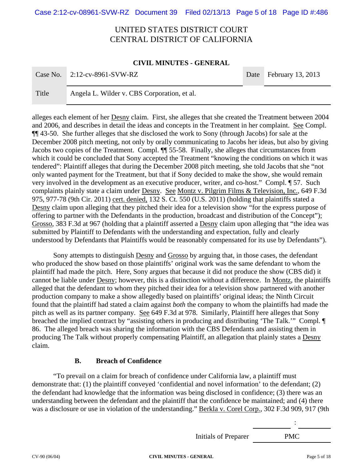Case 2:12-cv-08961-SVW-RZ Document 39 Filed 02/13/13 Page 5 of 18 Page ID #:486

# UNITED STATES DISTRICT COURT CENTRAL DISTRICT OF CALIFORNIA

#### **CIVIL MINUTES - GENERAL**

|       | Case No. $\vert 2:12$ -cv-8961-SVW-RZ       | Date February 13, 2013 |
|-------|---------------------------------------------|------------------------|
|       |                                             |                        |
| Title | Angela L. Wilder v. CBS Corporation, et al. |                        |

alleges each element of her Desny claim. First, she alleges that she created the Treatment between 2004 and 2006, and describes in detail the ideas and concepts in the Treatment in her complaint. See Compl. ¶¶ 43-50. She further alleges that she disclosed the work to Sony (through Jacobs) for sale at the December 2008 pitch meeting, not only by orally communicating to Jacobs her ideas, but also by giving Jacobs two copies of the Treatment. Compl. ¶¶ 55-58. Finally, she alleges that circumstances from which it could be concluded that Sony accepted the Treatment "knowing the conditions on which it was tendered": Plaintiff alleges that during the December 2008 pitch meeting, she told Jacobs that she "not only wanted payment for the Treatment, but that if Sony decided to make the show, she would remain very involved in the development as an executive producer, writer, and co-host." Compl. ¶ 57. Such complaints plainly state a claim under Desny. See Montz v. Pilgrim Films & Television, Inc., 649 F.3d 975, 977-78 (9th Cir. 2011) cert. denied, 132 S. Ct. 550 (U.S. 2011) (holding that plaintiffs stated a Desny claim upon alleging that they pitched their idea for a television show "for the express purpose of offering to partner with the Defendants in the production, broadcast and distribution of the Concept"); Grosso, 383 F.3d at 967 (holding that a plaintiff asserted a Desny claim upon alleging that "the idea was submitted by Plaintiff to Defendants with the understanding and expectation, fully and clearly understood by Defendants that Plaintiffs would be reasonably compensated for its use by Defendants").

Sony attempts to distinguish Desny and Grosso by arguing that, in those cases, the defendant who produced the show based on those plaintiffs' original work was the same defendant to whom the plaintiff had made the pitch. Here, Sony argues that because it did not produce the show (CBS did) it cannot be liable under Desny; however, this is a distinction without a difference. In Montz, the plaintiffs alleged that the defendant to whom they pitched their idea for a television show partnered with another production company to make a show allegedly based on plaintiffs' original ideas; the Ninth Circuit found that the plaintiff had stated a claim against *both* the company to whom the plaintiffs had made the pitch as well as its partner company. See 649 F.3d at 978. Similarly, Plaintiff here alleges that Sony breached the implied contract by "assisting others in producing and distributing 'The Talk.'" Compl. ¶ 86. The alleged breach was sharing the information with the CBS Defendants and assisting them in producing The Talk without properly compensating Plaintiff, an allegation that plainly states a Desny claim.

### **B. Breach of Confidence**

"To prevail on a claim for breach of confidence under California law, a plaintiff must demonstrate that: (1) the plaintiff conveyed 'confidential and novel information' to the defendant; (2) the defendant had knowledge that the information was being disclosed in confidence; (3) there was an understanding between the defendant and the plaintiff that the confidence be maintained; and (4) there was a disclosure or use in violation of the understanding." Berkla v. Corel Corp., 302 F.3d 909, 917 (9th

Initials of Preparer PMC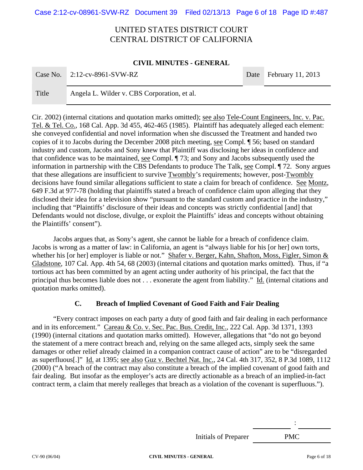Case 2:12-cv-08961-SVW-RZ Document 39 Filed 02/13/13 Page 6 of 18 Page ID #:487

# UNITED STATES DISTRICT COURT CENTRAL DISTRICT OF CALIFORNIA

#### **CIVIL MINUTES - GENERAL**

|       | Case No. $2:12$ -cv-8961-SVW-RZ             | Date February 11, 2013 |
|-------|---------------------------------------------|------------------------|
| Title | Angela L. Wilder v. CBS Corporation, et al. |                        |

Cir. 2002) (internal citations and quotation marks omitted); see also Tele-Count Engineers, Inc. v. Pac. Tel. & Tel. Co., 168 Cal. App. 3d 455, 462-465 (1985). Plaintiff has adequately alleged each element: she conveyed confidential and novel information when she discussed the Treatment and handed two copies of it to Jacobs during the December 2008 pitch meeting, see Compl. ¶ 56; based on standard industry and custom, Jacobs and Sony knew that Plaintiff was disclosing her ideas in confidence and that confidence was to be maintained, see Compl. ¶ 73; and Sony and Jacobs subsequently used the information in partnership with the CBS Defendants to produce The Talk, see Compl. ¶ 72. Sony argues that these allegations are insufficient to survive Twombly's requirements; however, post-Twombly decisions have found similar allegations sufficient to state a claim for breach of confidence. See Montz, 649 F.3d at 977-78 (holding that plaintiffs stated a breach of confidence claim upon alleging that they disclosed their idea for a television show "pursuant to the standard custom and practice in the industry," including that "Plaintiffs' disclosure of their ideas and concepts was strictly confidential [and] that Defendants would not disclose, divulge, or exploit the Plaintiffs' ideas and concepts without obtaining the Plaintiffs' consent").

Jacobs argues that, as Sony's agent, she cannot be liable for a breach of confidence claim. Jacobs is wrong as a matter of law: in California, an agent is "always liable for his [or her] own torts, whether his [or her] employer is liable or not." Shafer v. Berger, Kahn, Shafton, Moss, Figler, Simon & Gladstone, 107 Cal. App. 4th 54, 68 (2003) (internal citations and quotation marks omitted). Thus, if "a tortious act has been committed by an agent acting under authority of his principal, the fact that the principal thus becomes liable does not . . . exonerate the agent from liability." Id. (internal citations and quotation marks omitted).

### **C. Breach of Implied Covenant of Good Faith and Fair Dealing**

"Every contract imposes on each party a duty of good faith and fair dealing in each performance and in its enforcement." Careau & Co. v. Sec. Pac. Bus. Credit, Inc., 222 Cal. App. 3d 1371, 1393 (1990) (internal citations and quotation marks omitted). However, allegations that "do not go beyond the statement of a mere contract breach and, relying on the same alleged acts, simply seek the same damages or other relief already claimed in a companion contract cause of action" are to be "disregarded as superfluous[.]" Id. at 1395; see also Guz v. Bechtel Nat. Inc., 24 Cal. 4th 317, 352, 8 P.3d 1089, 1112 (2000) ("A breach of the contract may also constitute a breach of the implied covenant of good faith and fair dealing. But insofar as the employer's acts are directly actionable as a breach of an implied-in-fact contract term, a claim that merely realleges that breach as a violation of the covenant is superfluous.").

Initials of Preparer PMC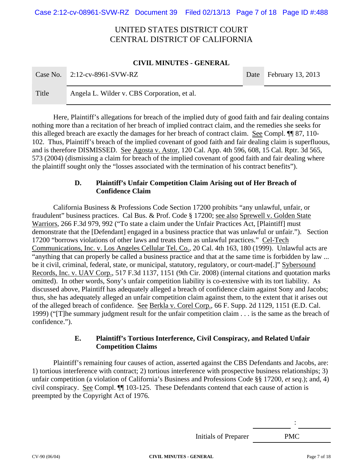Case 2:12-cv-08961-SVW-RZ Document 39 Filed 02/13/13 Page 7 of 18 Page ID #:488

# UNITED STATES DISTRICT COURT CENTRAL DISTRICT OF CALIFORNIA

#### **CIVIL MINUTES - GENERAL**

| Case No. | $2:12$ -cv-8961-SVW-RZ                      | Date February 13, 2013 |
|----------|---------------------------------------------|------------------------|
| Title    | Angela L. Wilder v. CBS Corporation, et al. |                        |

Here, Plaintiff's allegations for breach of the implied duty of good faith and fair dealing contains nothing more than a recitation of her breach of implied contract claim, and the remedies she seeks for this alleged breach are exactly the damages for her breach of contract claim. See Compl. ¶¶ 87, 110- 102. Thus, Plaintiff's breach of the implied covenant of good faith and fair dealing claim is superfluous, and is therefore DISMISSED. See Agosta v. Astor, 120 Cal. App. 4th 596, 608, 15 Cal. Rptr. 3d 565, 573 (2004) (dismissing a claim for breach of the implied covenant of good faith and fair dealing where the plaintiff sought only the "losses associated with the termination of his contract benefits").

### **D. Plaintiff's Unfair Competition Claim Arising out of Her Breach of Confidence Claim**

 California Business & Professions Code Section 17200 prohibits "any unlawful, unfair, or fraudulent" business practices. Cal Bus. & Prof. Code § 17200; see also Sprewell v. Golden State Warriors, 266 F.3d 979, 992 ("To state a claim under the Unfair Practices Act, [Plaintiff] must demonstrate that the [Defendant] engaged in a business practice that was unlawful or unfair."). Section 17200 "borrows violations of other laws and treats them as unlawful practices." Cel-Tech Communications, Inc. v. Los Angeles Cellular Tel. Co., 20 Cal. 4th 163, 180 (1999). Unlawful acts are "anything that can properly be called a business practice and that at the same time is forbidden by law ... be it civil, criminal, federal, state, or municipal, statutory, regulatory, or court-made[.]" Sybersound Records, Inc. v. UAV Corp., 517 F.3d 1137, 1151 (9th Cir. 2008) (internal citations and quotation marks omitted). In other words, Sony's unfair competition liability is co-extensive with its tort liability. As discussed above, Plaintiff has adequately alleged a breach of confidence claim against Sony and Jacobs; thus, she has adequately alleged an unfair competition claim against them, to the extent that it arises out of the alleged breach of confidence. See Berkla v. Corel Corp., 66 F. Supp. 2d 1129, 1151 (E.D. Cal. 1999) ("[T]he summary judgment result for the unfair competition claim . . . is the same as the breach of confidence.").

### **E. Plaintiff's Tortious Interference, Civil Conspiracy, and Related Unfair Competition Claims**

Plaintiff's remaining four causes of action, asserted against the CBS Defendants and Jacobs, are: 1) tortious interference with contract; 2) tortious interference with prospective business relationships; 3) unfair competition (a violation of California's Business and Professions Code §§ 17200, *et seq*.); and, 4) civil conspiracy. See Compl. ¶¶ 103-125. These Defendants contend that each cause of action is preempted by the Copyright Act of 1976.

Initials of Preparer PMC

: 100 pm

**CV-90 (06/04) CIVIL MINUTES - GENERAL** Page 7 of 18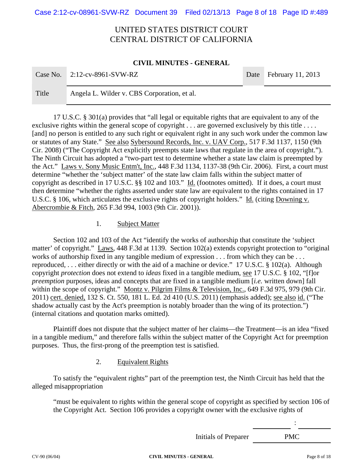Case 2:12-cv-08961-SVW-RZ Document 39 Filed 02/13/13 Page 8 of 18 Page ID #:489

# UNITED STATES DISTRICT COURT CENTRAL DISTRICT OF CALIFORNIA

#### **CIVIL MINUTES - GENERAL**

|       | Case No. $2:12$ -cv-8961-SVW-RZ             | Date February 11, 2013 |
|-------|---------------------------------------------|------------------------|
| Title | Angela L. Wilder v. CBS Corporation, et al. |                        |

 17 U.S.C. § 301(a) provides that "all legal or equitable rights that are equivalent to any of the exclusive rights within the general scope of copyright . . . are governed exclusively by this title . . . . [and] no person is entitled to any such right or equivalent right in any such work under the common law or statutes of any State." See also Sybersound Records, Inc. v. UAV Corp., 517 F.3d 1137, 1150 (9th Cir. 2008) ("The Copyright Act explicitly preempts state laws that regulate in the area of copyright."). The Ninth Circuit has adopted a "two-part test to determine whether a state law claim is preempted by the Act." Laws v. Sony Music Entm't, Inc., 448 F.3d 1134, 1137-38 (9th Cir. 2006). First, a court must determine "whether the 'subject matter' of the state law claim falls within the subject matter of copyright as described in 17 U.S.C. §§ 102 and 103." Id. (footnotes omitted). If it does, a court must then determine "whether the rights asserted under state law are equivalent to the rights contained in 17 U.S.C. § 106, which articulates the exclusive rights of copyright holders." Id. (citing Downing v. Abercrombie & Fitch*,* 265 F.3d 994, 1003 (9th Cir. 2001)).

1. Subject Matter

 Section 102 and 103 of the Act "identify the works of authorship that constitute the 'subject matter' of copyright." Laws, 448 F.3d at 1139. Section 102(a) extends copyright protection to "original works of authorship fixed in any tangible medium of expression . . . from which they can be . . . reproduced, . . . either directly or with the aid of a machine or device." 17 U.S.C. § 102(a). Although copyright *protection* does not extend to *ideas* fixed in a tangible medium, see 17 U.S.C. § 102, "[f]or *preemption* purposes, ideas and concepts that are fixed in a tangible medium [*i.e.* written down] fall within the scope of copyright." Montz v. Pilgrim Films & Television, Inc., 649 F.3d 975, 979 (9th Cir. 2011) cert. denied, 132 S. Ct. 550, 181 L. Ed. 2d 410 (U.S. 2011) (emphasis added); see also id. ("The shadow actually cast by the Act's preemption is notably broader than the wing of its protection.") (internal citations and quotation marks omitted).

Plaintiff does not dispute that the subject matter of her claims—the Treatment—is an idea "fixed in a tangible medium," and therefore falls within the subject matter of the Copyright Act for preemption purposes. Thus, the first-prong of the preemption test is satisfied.

### 2. Equivalent Rights

To satisfy the "equivalent rights" part of the preemption test, the Ninth Circuit has held that the alleged misappropriation

"must be equivalent to rights within the general scope of copyright as specified by section 106 of the Copyright Act. Section 106 provides a copyright owner with the exclusive rights of

Initials of Preparer PMC

: 100 pm

**CV-90 (06/04) CIVIL MINUTES - GENERAL** Page 8 of 18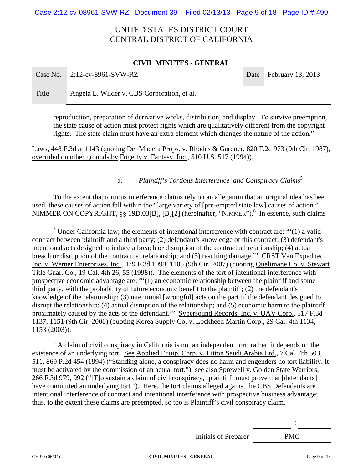Case 2:12-cv-08961-SVW-RZ Document 39 Filed 02/13/13 Page 9 of 18 Page ID #:490

# UNITED STATES DISTRICT COURT CENTRAL DISTRICT OF CALIFORNIA

#### **CIVIL MINUTES - GENERAL**

|       | Case No. $2:12$ -cv-8961-SVW-RZ             | Date February 13, 2013 |
|-------|---------------------------------------------|------------------------|
| Title | Angela L. Wilder v. CBS Corporation, et al. |                        |

reproduction, preparation of derivative works, distribution, and display. To survive preemption, the state cause of action must protect rights which are qualitatively different from the copyright rights. The state claim must have an extra element which changes the nature of the action."

Laws, 448 F.3d at 1143 (quoting Del Madera Props. v. Rhodes & Gardner, 820 F.2d 973 (9th Cir. 1987), overruled on other grounds by Fogerty v. Fantasy, Inc., 510 U.S. 517 (1994)).

### a. *Plaintiff's Tortious Interference and Conspiracy Claims*<sup>5</sup>

To the extent that tortious interference claims rely on an allegation that an original idea has been used, these causes of action fall within the "large variety of [pre-empted state law] causes of action." NIMMER ON COPYRIGHT, §§ 19D.03[B], [B][2] (hereinafter, "NIMMER").<sup>6</sup> In essence, such claims

 $rac{1}{5}$  $<sup>5</sup>$  Under California law, the elements of intentional interference with contract are: "'(1) a valid</sup> contract between plaintiff and a third party; (2) defendant's knowledge of this contract; (3) defendant's intentional acts designed to induce a breach or disruption of the contractual relationship; (4) actual breach or disruption of the contractual relationship; and (5) resulting damage.'" CRST Van Expedited, Inc. v. Werner Enterprises, Inc., 479 F.3d 1099, 1105 (9th Cir. 2007) (quoting Quelimane Co. v. Stewart Title Guar. Co., 19 Cal. 4th 26, 55 (1998)). The elements of the tort of intentional interference with prospective economic advantage are: "'(1) an economic relationship between the plaintiff and some third party, with the probability of future economic benefit to the plaintiff; (2) the defendant's knowledge of the relationship; (3) intentional [wrongful] acts on the part of the defendant designed to disrupt the relationship; (4) actual disruption of the relationship; and (5) economic harm to the plaintiff proximately caused by the acts of the defendant.'" Sybersound Records, Inc. v. UAV Corp., 517 F.3d 1137, 1151 (9th Cir. 2008) (quoting Korea Supply Co. v. Lockheed Martin Corp., 29 Cal. 4th 1134, 1153 (2003)).

<sup>6</sup> A claim of civil conspiracy in California is not an independent tort; rather, it depends on the existence of an underlying tort. See Applied Equip. Corp. v. Litton Saudi Arabia Ltd., 7 Cal. 4th 503, 511, 869 P.2d 454 (1994) ("Standing alone, a conspiracy does no harm and engenders no tort liability. It must be activated by the commission of an actual tort."); <u>see also Sprewell v. Golden State Warriors</u>, 266 F.3d 979, 992 ("[T]o sustain a claim of civil conspiracy, [plaintiff] must prove that [defendants] have committed an underlying tort."). Here, the tort claims alleged against the CBS Defendants are intentional interference of contract and intentional interference with prospective business advantage; thus, to the extent these claims are preempted, so too is Plaintiff's civil conspiracy claim.

Initials of Preparer PMC

: 100 pm

**CV-90 (06/04) CIVIL MINUTES - GENERAL** Page 9 of 18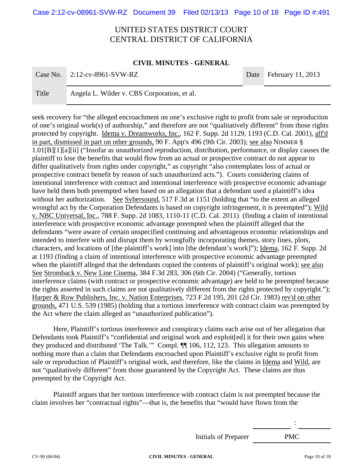Case 2:12-cv-08961-SVW-RZ Document 39 Filed 02/13/13 Page 10 of 18 Page ID #:491

# UNITED STATES DISTRICT COURT CENTRAL DISTRICT OF CALIFORNIA

#### **CIVIL MINUTES - GENERAL**

|       | Case No. $2:12$ -cv-8961-SVW-RZ             | Date February 11, 2013 |
|-------|---------------------------------------------|------------------------|
|       |                                             |                        |
| Title | Angela L. Wilder v. CBS Corporation, et al. |                        |

seek recovery for "the alleged encroachment on one's exclusive right to profit from sale or reproduction of one's original work(s) of authorship," and therefore are not "qualitatively different" from those rights protected by copyright. Idema v. Dreamworks, Inc., 162 F. Supp. 2d 1129, 1193 (C.D. Cal. 2001), aff'd in part, dismissed in part on other grounds, 90 F. App'x 496 (9th Cir. 2003); see also NIMMER § 1.01[B][1][a][ii] ("Insofar as unauthorized reproduction, distribution, performance, or display causes the plaintiff to lose the benefits that would flow from an actual or prospective contract do not appear to differ qualitatively from rights under copyright," as copyright "also contemplates loss of actual or prospective contract benefit by reason of such unauthorized acts."). Courts considering claims of intentional interference with contract and intentional interference with prospective economic advantage have held them both preempted when based on an allegation that a defendant used a plaintiff's idea without her authorization. See Sybersound, 517 F.3d at 1151 (holding that "to the extent an alleged wrongful act by the Corporation Defendants is based on copyright infringement, it is preempted"); Wild v. NBC Universal, Inc., 788 F. Supp. 2d 1083, 1110-11 (C.D. Cal. 2011) (finding a claim of intentional interference with prospective economic advantage preempted when the plaintiff alleged that the defendants "were aware of certain unspecified continuing and advantageous economic relationships and intended to interfere with and disrupt them by wrongfully incorporating themes, story lines, plots, characters, and locations of [the plaintiff's work] into [the defendant's work]"); Idema, 162 F. Supp. 2d at 1193 (finding a claim of intentional interference with prospective economic advantage preempted when the plaintiff alleged that the defendants copied the contents of plaintiff's original work); see also See Stromback v. New Line Cinema, 384 F.3d 283, 306 (6th Cir. 2004) ("Generally, tortious interference claims (with contract or prospective economic advantage) are held to be preempted because the rights asserted in such claims are not qualitatively different from the rights protected by copyright."); Harper & Row Publishers, Inc. v. Nation Enterprises, 723 F.2d 195, 201 (2d Cir. 1983) rev'd on other grounds, 471 U.S. 539 (1985) (holding that a tortious interference with contract claim was preempted by the Act where the claim alleged an "unauthorized publication").

Here, Plaintiff's tortious interference and conspiracy claims each arise out of her allegation that Defendants took Plaintiff's "confidential and original work and exploit[ed] it for their own gains when they produced and distributed 'The Talk.'" Compl. ¶¶ 106, 112, 123. This allegation amounts to nothing more than a claim that Defendants encroached upon Plaintiff's exclusive right to profit from sale or reproduction of Plaintiff's original work, and therefore, like the claims in Idema and Wild, are not "qualitatively different" from those guaranteed by the Copyright Act. These claims are thus preempted by the Copyright Act.

Plaintiff argues that her tortious interference with contract claim is not preempted because the claim involves her "contractual rights"—that is, the benefits that "would have flown from the

Initials of Preparer PMC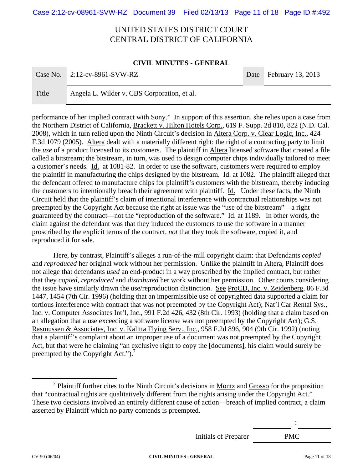Case 2:12-cv-08961-SVW-RZ Document 39 Filed 02/13/13 Page 11 of 18 Page ID #:492

# UNITED STATES DISTRICT COURT CENTRAL DISTRICT OF CALIFORNIA

#### **CIVIL MINUTES - GENERAL**

|       | Case No. $2:12$ -cv-8961-SVW-RZ             | Date February 13, 2013 |
|-------|---------------------------------------------|------------------------|
| Title | Angela L. Wilder v. CBS Corporation, et al. |                        |

performance of her implied contract with Sony." In support of this assertion, she relies upon a case from the Northern District of California, Brackett v. Hilton Hotels Corp., 619 F. Supp. 2d 810, 822 (N.D. Cal. 2008), which in turn relied upon the Ninth Circuit's decision in Altera Corp. v. Clear Logic, Inc., 424 F.3d 1079 (2005). Altera dealt with a materially different right: the right of a contracting party to limit the *use* of a product licensed to its customers. The plaintiff in Altera licensed software that created a file called a bitstream; the bitstream, in turn, was used to design computer chips individually tailored to meet a customer's needs. Id. at 1081-82. In order to use the software, customers were required to employ the plaintiff in manufacturing the chips designed by the bitstream. Id. at 1082. The plaintiff alleged that the defendant offered to manufacture chips for plaintiff's customers with the bitstream, thereby inducing the customers to intentionally breach their agreement with plaintiff. Id. Under these facts, the Ninth Circuit held that the plaintiff's claim of intentional interference with contractual relationships was not preempted by the Copyright Act because the right at issue was the "use of the bitstream"—a right guaranteed by the contract—not the "reproduction of the software." Id. at 1189. In other words, the claim against the defendant was that they induced the customers to use the software in a manner proscribed by the explicit terms of the contract, *not* that they took the software, copied it, and reproduced it for sale.

Here, by contrast, Plaintiff's alleges a run-of-the-mill copyright claim: that Defendants *copied*  and *reproduced* her original work without her permission. Unlike the plaintiff in Altera, Plaintiff does not allege that defendants *used* an end-product in a way proscribed by the implied contract, but rather that they *copied, reproduced* and *distributed* her work without her permission. Other courts considering the issue have similarly drawn the use/reproduction distinction. See ProCD, Inc. v. Zeidenberg, 86 F.3d 1447, 1454 (7th Cir. 1996) (holding that an impermissible use of copyrighted data supported a claim for tortious interference with contract that was not preempted by the Copyright Act); Nat'l Car Rental Sys., Inc. v. Computer Associates Int'l, Inc., 991 F.2d 426, 432 (8th Cir. 1993) (holding that a claim based on an allegation that a use exceeding a software license was not preempted by the Copyright Act); G.S. Rasmussen & Associates, Inc. v. Kalitta Flying Serv., Inc., 958 F.2d 896, 904 (9th Cir. 1992) (noting that a plaintiff's complaint about an improper use of a document was not preempted by the Copyright Act, but that were he claiming "an exclusive right to copy the [documents], his claim would surely be preempted by the Copyright Act.").<sup>7</sup>

Initials of Preparer PMC

 <sup>7</sup>  $\frac{7}{1}$  Plaintiff further cites to the Ninth Circuit's decisions in <u>Montz</u> and Grosso for the proposition that "contractual rights are qualitatively different from the rights arising under the Copyright Act." These two decisions involved an entirely different cause of action—breach of implied contract, a claim asserted by Plaintiff which no party contends is preempted.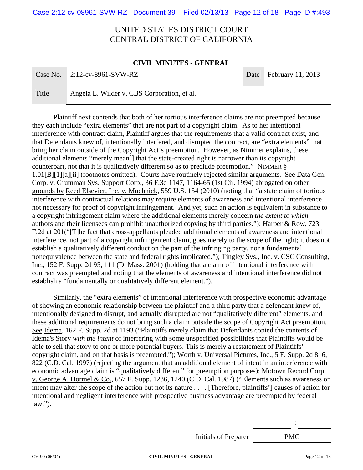Case 2:12-cv-08961-SVW-RZ Document 39 Filed 02/13/13 Page 12 of 18 Page ID #:493

# UNITED STATES DISTRICT COURT CENTRAL DISTRICT OF CALIFORNIA

#### **CIVIL MINUTES - GENERAL**

|       | Case No. $2:12$ -cv-8961-SVW-RZ             | Date February 11, 2013 |
|-------|---------------------------------------------|------------------------|
| Title | Angela L. Wilder v. CBS Corporation, et al. |                        |

Plaintiff next contends that both of her tortious interference claims are not preempted because they each include "extra elements" that are not part of a copyright claim. As to her intentional interference with contract claim, Plaintiff argues that the requirements that a valid contract exist, and that Defendants knew of, intentionally interfered, and disrupted the contract, are "extra elements" that bring her claim outside of the Copyright Act's preemption. However, as Nimmer explains, these additional elements "merely mean[] that the state-created right is narrower than its copyright counterpart, not that it is qualitatively different so as to preclude preemption." NIMMER § 1.01[B][1][a][ii] (footnotes omitted). Courts have routinely rejected similar arguments. See Data Gen. Corp. v. Grumman Sys. Support Corp., 36 F.3d 1147, 1164-65 (1st Cir. 1994) abrogated on other grounds by Reed Elsevier, Inc. v. Muchnick, 559 U.S. 154 (2010) (noting that "a state claim of tortious interference with contractual relations may require elements of awareness and intentional interference not necessary for proof of copyright infringement. And yet, such an action is equivalent in substance to a copyright infringement claim where the additional elements merely concern *the extent to which* authors and their licensees can prohibit unauthorized copying by third parties."); Harper & Row, 723 F.2d at 201("[T]he fact that cross-appellants pleaded additional elements of awareness and intentional interference, not part of a copyright infringement claim, goes merely to the scope of the right; it does not establish a qualitatively different conduct on the part of the infringing party, nor a fundamental nonequivalence between the state and federal rights implicated."); Tingley Sys., Inc. v. CSC Consulting, Inc., 152 F. Supp. 2d 95, 111 (D. Mass. 2001) (holding that a claim of intentional interference with contract was preempted and noting that the elements of awareness and intentional interference did not establish a "fundamentally or qualitatively different element.").

Similarly, the "extra elements" of intentional interference with prospective economic advantage of showing an economic relationship between the plaintiff and a third party that a defendant knew of, intentionally designed to disrupt, and actually disrupted are not "qualitatively different" elements, and these additional requirements do not bring such a claim outside the scope of Copyright Act preemption. See Idema, 162 F. Supp. 2d at 1193 ("Plaintiffs merely claim that Defendants copied the contents of Idema's Story *with the intent* of interfering with some unspecified possibilities that Plaintiffs would be able to sell that story to one or more potential buyers. This is merely a restatement of Plaintiffs' copyright claim, and on that basis is preempted."); Worth v. Universal Pictures, Inc., 5 F. Supp. 2d 816, 822 (C.D. Cal. 1997) (rejecting the argument that an additional element of intent in an interference with economic advantage claim is "qualitatively different" for preemption purposes); Motown Record Corp. v. George A. Hormel & Co., 657 F. Supp. 1236, 1240 (C.D. Cal. 1987) ("Elements such as awareness or intent may alter the scope of the action but not its nature . . . . [Therefore, plaintiffs'] causes of action for intentional and negligent interference with prospective business advantage are preempted by federal  $law.'$ ).

Initials of Preparer PMC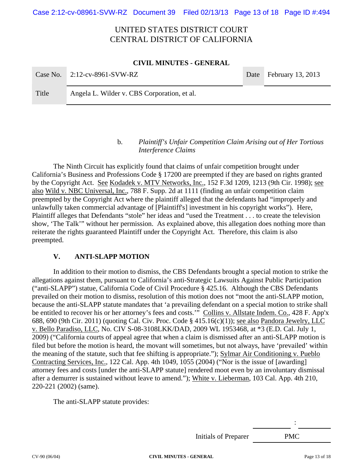# UNITED STATES DISTRICT COURT CENTRAL DISTRICT OF CALIFORNIA

#### **CIVIL MINUTES - GENERAL**

|       | Case No. $2:12$ -cv-8961-SVW-RZ             | Date February 13, 2013 |
|-------|---------------------------------------------|------------------------|
| Title | Angela L. Wilder v. CBS Corporation, et al. |                        |

### b. *Plaintiff's Unfair Competition Claim Arising out of Her Tortious Interference Claims*

The Ninth Circuit has explicitly found that claims of unfair competition brought under California's Business and Professions Code § 17200 are preempted if they are based on rights granted by the Copyright Act. See Kodadek v. MTV Networks, Inc., 152 F.3d 1209, 1213 (9th Cir. 1998); see also Wild v. NBC Universal, Inc., 788 F. Supp. 2d at 1111 (finding an unfair competition claim preempted by the Copyright Act where the plaintiff alleged that the defendants had "improperly and unlawfully taken commercial advantage of [Plaintiff's] investment in his copyright works"). Here, Plaintiff alleges that Defendants "stole" her ideas and "used the Treatment . . . to create the television show, 'The Talk'" without her permission. As explained above, this allegation does nothing more than reiterate the rights guaranteed Plaintiff under the Copyright Act. Therefore, this claim is also preempted.

### **V. ANTI-SLAPP MOTION**

In addition to their motion to dismiss, the CBS Defendants brought a special motion to strike the allegations against them, pursuant to California's anti-Strategic Lawsuits Against Public Participation ("anti-SLAPP") statue, California Code of Civil Procedure § 425.16. Although the CBS Defendants prevailed on their motion to dismiss, resolution of this motion does not "moot the anti-SLAPP motion, because the anti-SLAPP statute mandates that 'a prevailing defendant on a special motion to strike shall be entitled to recover his or her attorney's fees and costs."" Collins v. Allstate Indem. Co., 428 F. App'x 688, 690 (9th Cir. 2011) (quoting Cal. Civ. Proc. Code § 415.16(c)(1)); see also Pandora Jewelry, LLC v. Bello Paradiso, LLC, No. CIV S-08-3108LKK/DAD, 2009 WL 1953468, at \*3 (E.D. Cal. July 1, 2009) ("California courts of appeal agree that when a claim is dismissed after an anti-SLAPP motion is filed but before the motion is heard, the movant will sometimes, but not always, have 'prevailed' within the meaning of the statute, such that fee shifting is appropriate."); Sylmar Air Conditioning v. Pueblo Contracting Services, Inc., 122 Cal. App. 4th 1049, 1055 (2004) ("Nor is the issue of [awarding] attorney fees and costs [under the anti-SLAPP statute] rendered moot even by an involuntary dismissal after a demurrer is sustained without leave to amend."); White v. Lieberman, 103 Cal. App. 4th 210, 220-221 (2002) (same).

The anti-SLAPP statute provides:

Initials of Preparer PMC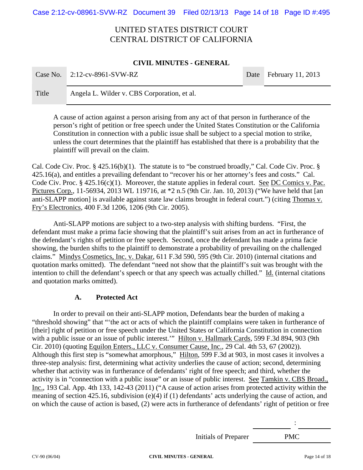Case 2:12-cv-08961-SVW-RZ Document 39 Filed 02/13/13 Page 14 of 18 Page ID #:495

# UNITED STATES DISTRICT COURT CENTRAL DISTRICT OF CALIFORNIA

#### **CIVIL MINUTES - GENERAL**

|       | Case No. $2:12$ -cv-8961-SVW-RZ             | Date February 11, 2013 |
|-------|---------------------------------------------|------------------------|
| Title | Angela L. Wilder v. CBS Corporation, et al. |                        |

A cause of action against a person arising from any act of that person in furtherance of the person's right of petition or free speech under the United States Constitution or the California Constitution in connection with a public issue shall be subject to a special motion to strike, unless the court determines that the plaintiff has established that there is a probability that the plaintiff will prevail on the claim.

Cal. Code Civ. Proc. § 425.16(b)(1). The statute is to "be construed broadly," Cal. Code Civ. Proc. § 425.16(a), and entitles a prevailing defendant to "recover his or her attorney's fees and costs." Cal. Code Civ. Proc. § 425.16(c)(1). Moreover, the statute applies in federal court. See DC Comics v. Pac. Pictures Corp., 11-56934, 2013 WL 119716, at \*2 n.5 (9th Cir. Jan. 10, 2013) ("We have held that [an anti-SLAPP motion] is available against state law claims brought in federal court.") (citing Thomas v. Fry's Electronics*,* 400 F.3d 1206, 1206 (9th Cir. 2005).

 Anti-SLAPP motions are subject to a two-step analysis with shifting burdens. "First, the defendant must make a prima facie showing that the plaintiff's suit arises from an act in furtherance of the defendant's rights of petition or free speech. Second, once the defendant has made a prima facie showing, the burden shifts to the plaintiff to demonstrate a probability of prevailing on the challenged claims." Mindys Cosmetics, Inc. v. Dakar, 611 F.3d 590, 595 (9th Cir. 2010) (internal citations and quotation marks omitted). The defendant "need not show that the plaintiff's suit was brought with the intention to chill the defendant's speech or that any speech was actually chilled." Id. (internal citations and quotation marks omitted).

### **A. Protected Act**

In order to prevail on their anti-SLAPP motion, Defendants bear the burden of making a "threshold showing" that "'the act or acts of which the plaintiff complains were taken in furtherance of [their] right of petition or free speech under the United States or California Constitution in connection with a public issue or an issue of public interest." Hilton v. Hallmark Cards, 599 F.3d 894, 903 (9th Cir. 2010) (quoting Equilon Enters., LLC v. Consumer Cause, Inc., 29 Cal. 4th 53, 67 (2002)). Although this first step is "somewhat amorphous," Hilton, 599 F.3d at 903, in most cases it involves a three-step analysis: first, determining what activity underlies the cause of action; second, determining whether that activity was in furtherance of defendants' right of free speech; and third, whether the activity is in "connection with a public issue" or an issue of public interest. See Tamkin v. CBS Broad., Inc., 193 Cal. App. 4th 133, 142-43 (2011) ("A cause of action arises from protected activity within the meaning of section 425.16, subdivision (e)(4) if (1) defendants' acts underlying the cause of action, and on which the cause of action is based, (2) were acts in furtherance of defendants' right of petition or free

Initials of Preparer PMC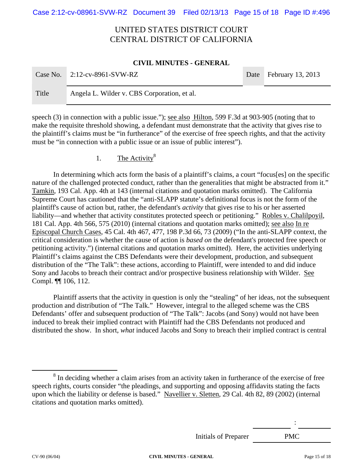Case 2:12-cv-08961-SVW-RZ Document 39 Filed 02/13/13 Page 15 of 18 Page ID #:496

# UNITED STATES DISTRICT COURT CENTRAL DISTRICT OF CALIFORNIA

#### **CIVIL MINUTES - GENERAL**

| Case No. | $2:12$ -cv-8961-SVW-RZ                      | Date February 13, 2013 |
|----------|---------------------------------------------|------------------------|
| Title    | Angela L. Wilder v. CBS Corporation, et al. |                        |

speech (3) in connection with a public issue."); <u>see also Hilton</u>, 599 F.3d at 903-905 (noting that to make the requisite threshold showing, a defendant must demonstrate that the activity that gives rise to the plaintiff's claims must be "in furtherance" of the exercise of free speech rights, and that the activity must be "in connection with a public issue or an issue of public interest").

## 1. The Activity $8$

In determining which acts form the basis of a plaintiff's claims, a court "focus[es] on the specific nature of the challenged protected conduct, rather than the generalities that might be abstracted from it." Tamkin, 193 Cal. App. 4th at 143 (internal citations and quotation marks omitted). The California Supreme Court has cautioned that the "anti-SLAPP statute's definitional focus is not the form of the plaintiff's cause of action but, rather, the defendant's *activity* that gives rise to his or her asserted liability—and whether that activity constitutes protected speech or petitioning." Robles v. Chalilpoyil, 181 Cal. App. 4th 566, 575 (2010) (internal citations and quotation marks omitted); see also In re Episcopal Church Cases, 45 Cal. 4th 467, 477, 198 P.3d 66, 73 (2009) ("In the anti-SLAPP context, the critical consideration is whether the cause of action is *based on* the defendant's protected free speech or petitioning activity.") (internal citations and quotation marks omitted). Here, the activities underlying Plaintiff's claims against the CBS Defendants were their development, production, and subsequent distribution of the "The Talk": these actions, according to Plaintiff, were intended to and did induce Sony and Jacobs to breach their contract and/or prospective business relationship with Wilder. See Compl. ¶¶ 106, 112.

Plaintiff asserts that the activity in question is only the "stealing" of her ideas, not the subsequent production and distribution of "The Talk." However, integral to the alleged scheme was the CBS Defendants' offer and subsequent production of "The Talk": Jacobs (and Sony) would not have been induced to break their implied contract with Plaintiff had the CBS Defendants not produced and distributed the show. In short, *what* induced Jacobs and Sony to breach their implied contract is central

Initials of Preparer PMC

 <sup>8</sup>  $8$  In deciding whether a claim arises from an activity taken in furtherance of the exercise of free speech rights, courts consider "the pleadings, and supporting and opposing affidavits stating the facts upon which the liability or defense is based." Navellier v. Sletten, 29 Cal. 4th 82, 89 (2002) (internal citations and quotation marks omitted).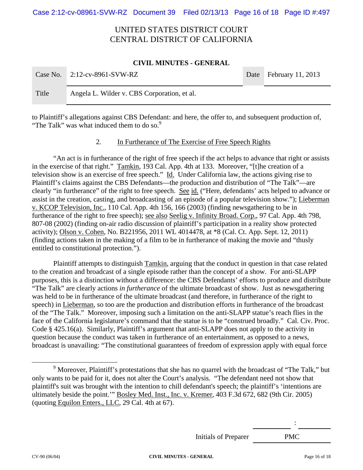# UNITED STATES DISTRICT COURT CENTRAL DISTRICT OF CALIFORNIA

#### **CIVIL MINUTES - GENERAL**

|       | Case No. $2:12$ -cv-8961-SVW-RZ             | Date February 11, 2013 |
|-------|---------------------------------------------|------------------------|
| Title | Angela L. Wilder v. CBS Corporation, et al. |                        |

to Plaintiff's allegations against CBS Defendant: and here, the offer to, and subsequent production of, "The Talk" was what induced them to do so.<sup>9</sup>

### 2. In Furtherance of The Exercise of Free Speech Rights

"An act is in furtherance of the right of free speech if the act helps to advance that right or assists in the exercise of that right." Tamkin, 193 Cal. App. 4th at 133. Moreover, "[t]he creation of a television show is an exercise of free speech." Id. Under California law, the actions giving rise to Plaintiff's claims against the CBS Defendants—the production and distribution of "The Talk"—are clearly "in furtherance" of the right to free speech. See id. ("Here, defendants' acts helped to advance or assist in the creation, casting, and broadcasting of an episode of a popular television show."); Lieberman v. KCOP Television, Inc., 110 Cal. App. 4th 156, 166 (2003) (finding newsgathering to be in furtherance of the right to free speech); see also Seelig v. Infinity Broad. Corp., 97 Cal. App. 4th 798, 807-08 (2002) (finding on-air radio discussion of plaintiff's participation in a reality show protected activity); Olson v. Cohen, No. B221956, 2011 WL 4014478, at \*8 (Cal. Ct. App. Sept. 12, 2011) (finding actions taken in the making of a film to be in furtherance of making the movie and "thusly entitled to constitutional protection.").

Plaintiff attempts to distinguish Tamkin, arguing that the conduct in question in that case related to the creation and broadcast of a single episode rather than the concept of a show. For anti-SLAPP purposes, this is a distinction without a difference: the CBS Defendants' efforts to produce and distribute "The Talk" are clearly actions *in furtherance* of the ultimate broadcast of show. Just as newsgathering was held to be in furtherance of the ultimate broadcast (and therefore, in furtherance of the right to speech) in Lieberman, so too are the production and distribution efforts in furtherance of the broadcast of the "The Talk." Moreover, imposing such a limitation on the anti-SLAPP statue's reach flies in the face of the California legislature's command that the statue is to be "construed broadly." Cal. Civ. Proc. Code § 425.16(a). Similarly, Plaintiff's argument that anti-SLAPP does not apply to the activity in question because the conduct was taken in furtherance of an entertainment, as opposed to a news, broadcast is unavailing: "The constitutional guarantees of freedom of expression apply with equal force

Initials of Preparer PMC

 $\frac{1}{9}$ <sup>9</sup> Moreover, Plaintiff's protestations that she has no quarrel with the broadcast of "The Talk," but only wants to be paid for it, does not alter the Court's analysis. "The defendant need not show that plaintiff's suit was brought with the intention to chill defendant's speech; the plaintiff's 'intentions are ultimately beside the point.'" Bosley Med. Inst., Inc. v. Kremer, 403 F.3d 672, 682 (9th Cir. 2005) (quoting Equilon Enters., LLC, 29 Cal. 4th at 67).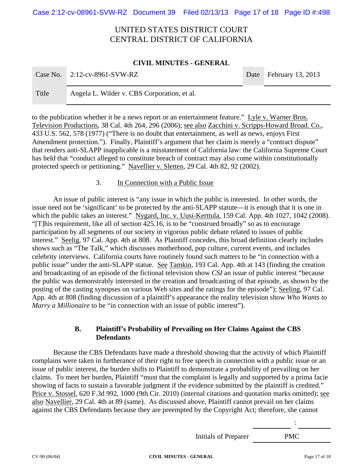Case 2:12-cv-08961-SVW-RZ Document 39 Filed 02/13/13 Page 17 of 18 Page ID #:498

# UNITED STATES DISTRICT COURT CENTRAL DISTRICT OF CALIFORNIA

#### **CIVIL MINUTES - GENERAL**

|       | Case No. $2:12$ -cv-8961-SVW-RZ             | Date February 13, 2013 |
|-------|---------------------------------------------|------------------------|
| Title | Angela L. Wilder v. CBS Corporation, et al. |                        |

to the publication whether it be a news report or an entertainment feature." Lyle v. Warner Bros. Television Productions, 38 Cal. 4th 264, 296 (2006); see also Zacchini v. Scripps-Howard Broad. Co., 433 U.S. 562, 578 (1977) ("There is no doubt that entertainment, as well as news, enjoys First Amendment protection."). Finally, Plaintiff's argument that her claim is merely a "contract dispute" that renders anti-SLAPP inapplicable is a misstatement of California law: the California Supreme Court has held that "conduct alleged to constitute breach of contract may also come within constitutionally protected speech or petitioning." Navellier v. Sletten, 29 Cal. 4th 82, 92 (2002).

#### 3. In Connection with a Public Issue

An issue of public interest is "any issue in which the public is interested. In other words, the issue need not be 'significant' to be protected by the anti-SLAPP statute—it is enough that it is one in which the public takes an interest." Nygard, Inc. v. Uusi-Kerttula, 159 Cal. App. 4th 1027, 1042 (2008). "[T]his requirement, like all of section 425.16, is to be "construed broadly" so as to encourage participation by all segments of our society in vigorous public debate related to issues of public interest." Seelig, 97 Cal. App. 4th at 808. As Plaintiff concedes, this broad definition clearly includes shows such as "The Talk," which discusses motherhood, pop culture, current events, and includes celebrity interviews. California courts have routinely found such matters to be "in connection with a public issue" under the anti-SLAPP statue. See Tamkin, 193 Cal. App. 4th at 143 (finding the creation and broadcasting of an episode of the fictional television show *CSI* an issue of public interest "because the public was demonstrably interested in the creation and broadcasting of that episode, as shown by the posting of the casting synopses on various Web sites and the ratings for the episode"); Seeling, 97 Cal. App. 4th at 808 (finding discussion of a plaintiff's appearance the reality television show *Who Wants to Marry a Millionaire* to be "in connection with an issue of public interest").

### **B. Plaintiff's Probability of Prevailing on Her Claims Against the CBS Defendants**

Because the CBS Defendants have made a threshold showing that the activity of which Plaintiff complains were taken in furtherance of their right to free speech in connection with a public issue or an issue of public interest, the burden shifts to Plaintiff to demonstrate a probability of prevailing on her claims. To meet her burden, Plaintiff "must that the complaint is legally and supported by a prima facie showing of facts to sustain a favorable judgment if the evidence submitted by the plaintiff is credited." Price v. Stossel, 620 F.3d 992, 1000 (9th Cir. 2010) (internal citations and quotation marks omitted); see also Navellier, 29 Cal. 4th at 89 (same). As discussed above, Plaintiff cannot prevail on her claims against the CBS Defendants because they are preempted by the Copyright Act; therefore, she cannot

Initials of Preparer PMC